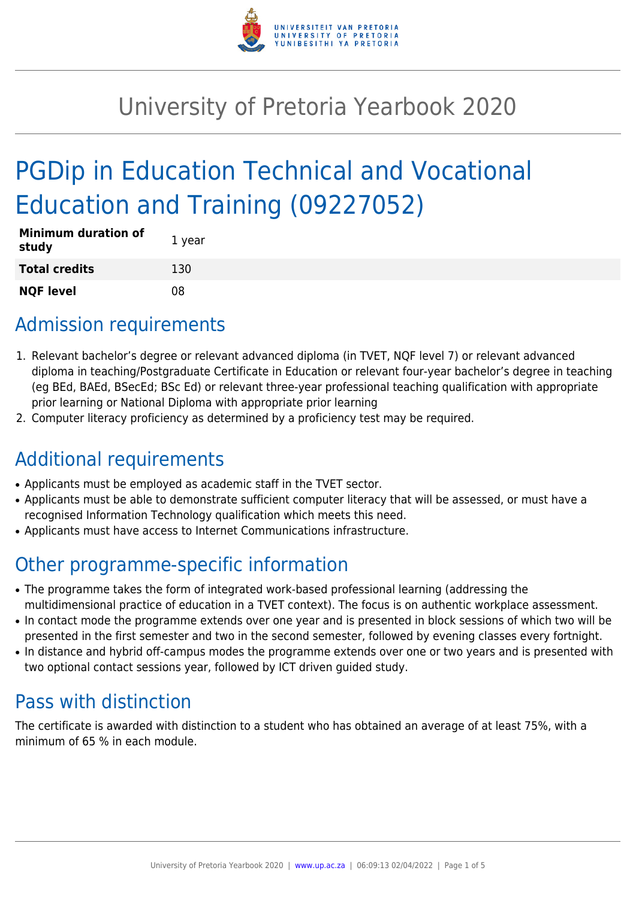

## University of Pretoria Yearbook 2020

# PGDip in Education Technical and Vocational Education and Training (09227052)

| <b>Minimum duration of</b><br>study | 1 year |
|-------------------------------------|--------|
| <b>Total credits</b>                | 130    |
| <b>NQF level</b>                    | 08     |

### Admission requirements

- 1. Relevant bachelor's degree or relevant advanced diploma (in TVET, NQF level 7) or relevant advanced diploma in teaching/Postgraduate Certificate in Education or relevant four-year bachelor's degree in teaching (eg BEd, BAEd, BSecEd; BSc Ed) or relevant three-year professional teaching qualification with appropriate prior learning or National Diploma with appropriate prior learning
- 2. Computer literacy proficiency as determined by a proficiency test may be required.

## Additional requirements

- Applicants must be employed as academic staff in the TVET sector.
- Applicants must be able to demonstrate sufficient computer literacy that will be assessed, or must have a recognised Information Technology qualification which meets this need.
- Applicants must have access to Internet Communications infrastructure.

### Other programme-specific information

- The programme takes the form of integrated work-based professional learning (addressing the multidimensional practice of education in a TVET context). The focus is on authentic workplace assessment.
- In contact mode the programme extends over one year and is presented in block sessions of which two will be presented in the first semester and two in the second semester, followed by evening classes every fortnight.
- In distance and hybrid off-campus modes the programme extends over one or two years and is presented with two optional contact sessions year, followed by ICT driven guided study.

## Pass with distinction

The certificate is awarded with distinction to a student who has obtained an average of at least 75%, with a minimum of 65 % in each module.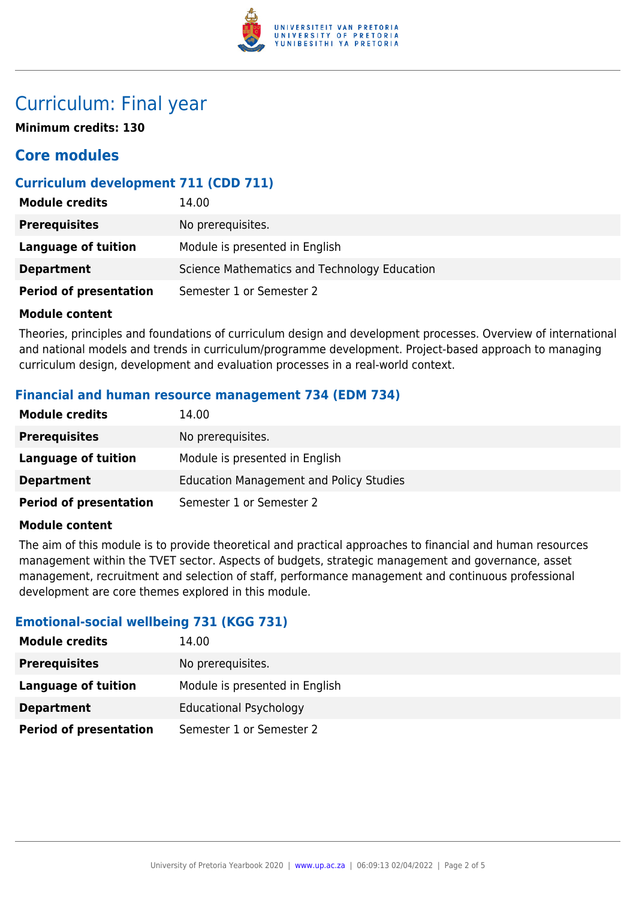

### Curriculum: Final year

**Minimum credits: 130**

### **Core modules**

#### **Curriculum development 711 (CDD 711)**

| <b>Module credits</b>         | 14.00                                        |
|-------------------------------|----------------------------------------------|
| <b>Prerequisites</b>          | No prerequisites.                            |
| Language of tuition           | Module is presented in English               |
| <b>Department</b>             | Science Mathematics and Technology Education |
| <b>Period of presentation</b> | Semester 1 or Semester 2                     |

#### **Module content**

Theories, principles and foundations of curriculum design and development processes. Overview of international and national models and trends in curriculum/programme development. Project-based approach to managing curriculum design, development and evaluation processes in a real-world context.

#### **Financial and human resource management 734 (EDM 734)**

| <b>Module credits</b>         | 14.00                                          |
|-------------------------------|------------------------------------------------|
| <b>Prerequisites</b>          | No prerequisites.                              |
| <b>Language of tuition</b>    | Module is presented in English                 |
| <b>Department</b>             | <b>Education Management and Policy Studies</b> |
| <b>Period of presentation</b> | Semester 1 or Semester 2                       |

#### **Module content**

The aim of this module is to provide theoretical and practical approaches to financial and human resources management within the TVET sector. Aspects of budgets, strategic management and governance, asset management, recruitment and selection of staff, performance management and continuous professional development are core themes explored in this module.

#### **Emotional-social wellbeing 731 (KGG 731)**

| <b>Module credits</b>         | 14.00                          |
|-------------------------------|--------------------------------|
| <b>Prerequisites</b>          | No prerequisites.              |
| Language of tuition           | Module is presented in English |
| <b>Department</b>             | <b>Educational Psychology</b>  |
| <b>Period of presentation</b> | Semester 1 or Semester 2       |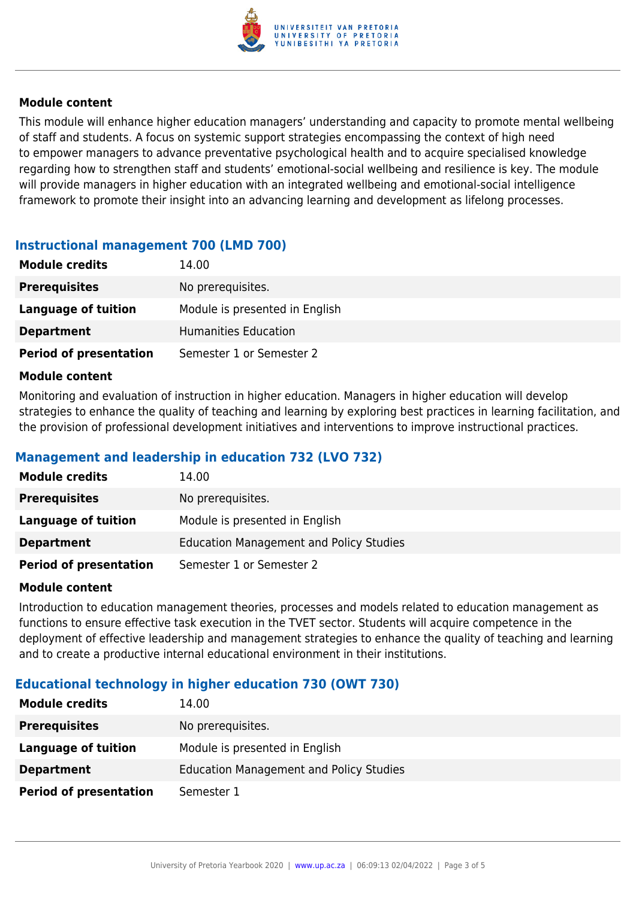

#### **Module content**

This module will enhance higher education managers' understanding and capacity to promote mental wellbeing of staff and students. A focus on systemic support strategies encompassing the context of high need to empower managers to advance preventative psychological health and to acquire specialised knowledge regarding how to strengthen staff and students' emotional-social wellbeing and resilience is key. The module will provide managers in higher education with an integrated wellbeing and emotional-social intelligence framework to promote their insight into an advancing learning and development as lifelong processes.

#### **Instructional management 700 (LMD 700)**

| <b>Module credits</b>         | 14.00                          |
|-------------------------------|--------------------------------|
| <b>Prerequisites</b>          | No prerequisites.              |
| Language of tuition           | Module is presented in English |
| <b>Department</b>             | Humanities Education           |
| <b>Period of presentation</b> | Semester 1 or Semester 2       |

#### **Module content**

Monitoring and evaluation of instruction in higher education. Managers in higher education will develop strategies to enhance the quality of teaching and learning by exploring best practices in learning facilitation, and the provision of professional development initiatives and interventions to improve instructional practices.

#### **Management and leadership in education 732 (LVO 732)**

| <b>Module credits</b>         | 14.00                                          |
|-------------------------------|------------------------------------------------|
| <b>Prerequisites</b>          | No prerequisites.                              |
| Language of tuition           | Module is presented in English                 |
| <b>Department</b>             | <b>Education Management and Policy Studies</b> |
| <b>Period of presentation</b> | Semester 1 or Semester 2                       |

#### **Module content**

Introduction to education management theories, processes and models related to education management as functions to ensure effective task execution in the TVET sector. Students will acquire competence in the deployment of effective leadership and management strategies to enhance the quality of teaching and learning and to create a productive internal educational environment in their institutions.

#### **Educational technology in higher education 730 (OWT 730)**

| <b>Module credits</b>         | 14.00                                   |
|-------------------------------|-----------------------------------------|
| <b>Prerequisites</b>          | No prerequisites.                       |
| Language of tuition           | Module is presented in English          |
| <b>Department</b>             | Education Management and Policy Studies |
| <b>Period of presentation</b> | Semester 1                              |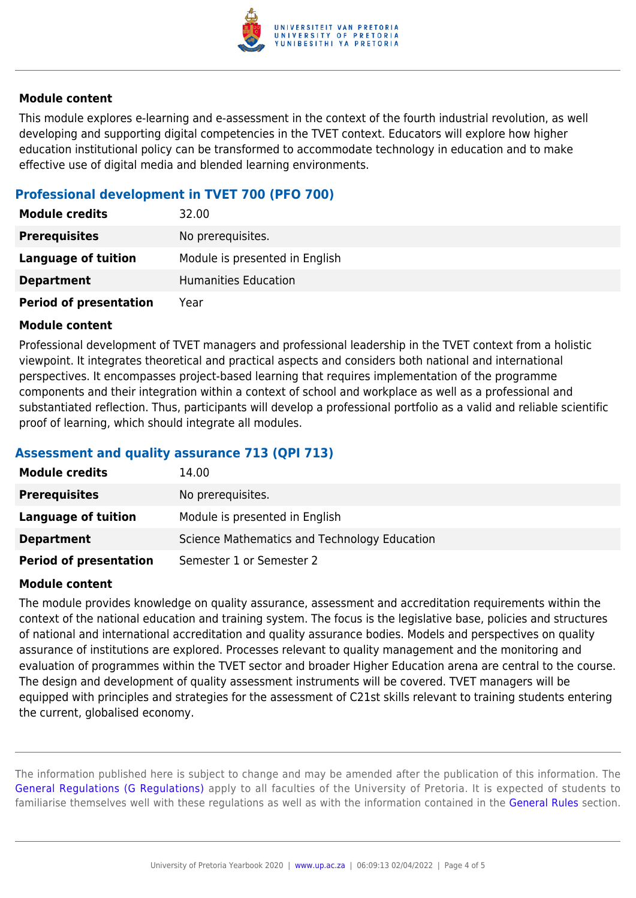

#### **Module content**

This module explores e-learning and e-assessment in the context of the fourth industrial revolution, as well developing and supporting digital competencies in the TVET context. Educators will explore how higher education institutional policy can be transformed to accommodate technology in education and to make effective use of digital media and blended learning environments.

#### **Professional development in TVET 700 (PFO 700)**

| <b>Module credits</b>         | 32.00                          |
|-------------------------------|--------------------------------|
| <b>Prerequisites</b>          | No prerequisites.              |
| Language of tuition           | Module is presented in English |
| <b>Department</b>             | <b>Humanities Education</b>    |
| <b>Period of presentation</b> | Year                           |

#### **Module content**

Professional development of TVET managers and professional leadership in the TVET context from a holistic viewpoint. It integrates theoretical and practical aspects and considers both national and international perspectives. It encompasses project-based learning that requires implementation of the programme components and their integration within a context of school and workplace as well as a professional and substantiated reflection. Thus, participants will develop a professional portfolio as a valid and reliable scientific proof of learning, which should integrate all modules.

#### **Assessment and quality assurance 713 (QPI 713)**

| <b>Module credits</b>         | 14.00                                        |
|-------------------------------|----------------------------------------------|
| <b>Prerequisites</b>          | No prerequisites.                            |
| Language of tuition           | Module is presented in English               |
| <b>Department</b>             | Science Mathematics and Technology Education |
| <b>Period of presentation</b> | Semester 1 or Semester 2                     |

#### **Module content**

The module provides knowledge on quality assurance, assessment and accreditation requirements within the context of the national education and training system. The focus is the legislative base, policies and structures of national and international accreditation and quality assurance bodies. Models and perspectives on quality assurance of institutions are explored. Processes relevant to quality management and the monitoring and evaluation of programmes within the TVET sector and broader Higher Education arena are central to the course. The design and development of quality assessment instruments will be covered. TVET managers will be equipped with principles and strategies for the assessment of C21st skills relevant to training students entering the current, globalised economy.

The information published here is subject to change and may be amended after the publication of this information. The [General Regulations \(G Regulations\)](https://www.up.ac.za/mechanical-and-aeronautical-engineering/yearbooks/2020/rules/view/REG) apply to all faculties of the University of Pretoria. It is expected of students to familiarise themselves well with these regulations as well as with the information contained in the [General Rules](https://www.up.ac.za/mechanical-and-aeronautical-engineering/yearbooks/2020/rules/view/RUL) section.